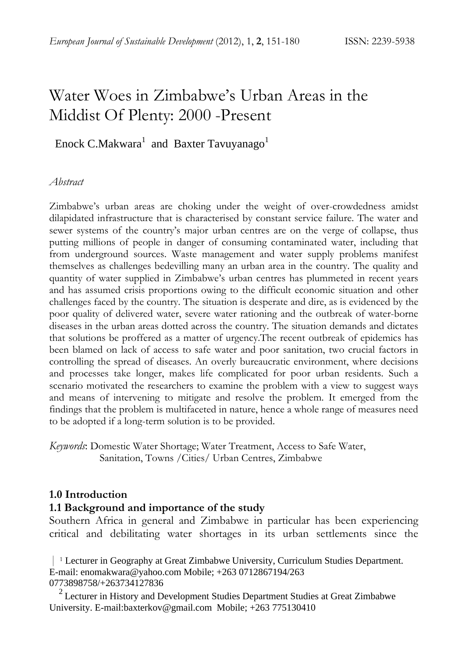# Water Woes in Zimbabwe's Urban Areas in the Middist Of Plenty: 2000 -Present

# Enock C.Makwara<sup>1</sup> and Baxter Tavuyanago<sup>1</sup>

#### *Abstract*

Zimbabwe's urban areas are choking under the weight of over-crowdedness amidst dilapidated infrastructure that is characterised by constant service failure. The water and sewer systems of the country's major urban centres are on the verge of collapse, thus putting millions of people in danger of consuming contaminated water, including that from underground sources. Waste management and water supply problems manifest themselves as challenges bedevilling many an urban area in the country. The quality and quantity of water supplied in Zimbabwe's urban centres has plummeted in recent years and has assumed crisis proportions owing to the difficult economic situation and other challenges faced by the country. The situation is desperate and dire, as is evidenced by the poor quality of delivered water, severe water rationing and the outbreak of water-borne diseases in the urban areas dotted across the country. The situation demands and dictates that solutions be proffered as a matter of urgency.The recent outbreak of epidemics has been blamed on lack of access to safe water and poor sanitation, two crucial factors in controlling the spread of diseases. An overly bureaucratic environment, where decisions and processes take longer, makes life complicated for poor urban residents. Such a scenario motivated the researchers to examine the problem with a view to suggest ways and means of intervening to mitigate and resolve the problem. It emerged from the findings that the problem is multifaceted in nature, hence a whole range of measures need to be adopted if a long-term solution is to be provided.

*Keywords*: Domestic Water Shortage; Water Treatment, Access to Safe Water, Sanitation, Towns /Cities/ Urban Centres, Zimbabwe

#### **1.0 Introduction**

#### **1.1 Background and importance of the study**

Southern Africa in general and Zimbabwe in particular has been experiencing critical and debilitating water shortages in its urban settlements since the

 | <sup>1</sup> Lecturer in Geography at Great Zimbabwe University, Curriculum Studies Department. E-mail: enomakwara@yahoo.com Mobile; +263 0712867194/263 0773898758/+263734127836

 $2$  Lecturer in History and Development Studies Department Studies at Great Zimbabwe University. E-mail:baxterkov@gmail.com Mobile; +263 775130410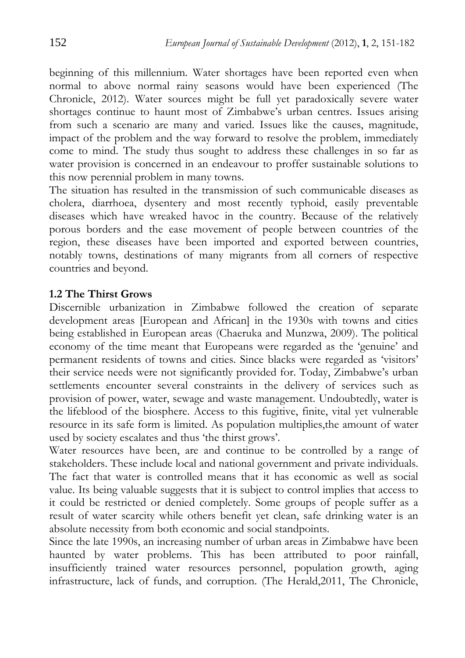beginning of this millennium. Water shortages have been reported even when normal to above normal rainy seasons would have been experienced (The Chronicle, 2012). Water sources might be full yet paradoxically severe water shortages continue to haunt most of Zimbabwe's urban centres. Issues arising from such a scenario are many and varied. Issues like the causes, magnitude, impact of the problem and the way forward to resolve the problem, immediately come to mind. The study thus sought to address these challenges in so far as water provision is concerned in an endeavour to proffer sustainable solutions to this now perennial problem in many towns.

The situation has resulted in the transmission of such communicable diseases as cholera, diarrhoea, dysentery and most recently typhoid, easily preventable diseases which have wreaked havoc in the country. Because of the relatively porous borders and the ease movement of people between countries of the region, these diseases have been imported and exported between countries, notably towns, destinations of many migrants from all corners of respective countries and beyond.

#### **1.2 The Thirst Grows**

Discernible urbanization in Zimbabwe followed the creation of separate development areas [European and African] in the 1930s with towns and cities being established in European areas (Chaeruka and Munzwa, 2009). The political economy of the time meant that Europeans were regarded as the 'genuine' and permanent residents of towns and cities. Since blacks were regarded as 'visitors' their service needs were not significantly provided for. Today, Zimbabwe's urban settlements encounter several constraints in the delivery of services such as provision of power, water, sewage and waste management. Undoubtedly, water is the lifeblood of the biosphere. Access to this fugitive, finite, vital yet vulnerable resource in its safe form is limited. As population multiplies,the amount of water used by society escalates and thus 'the thirst grows'.

Water resources have been, are and continue to be controlled by a range of stakeholders. These include local and national government and private individuals. The fact that water is controlled means that it has economic as well as social value. Its being valuable suggests that it is subject to control implies that access to it could be restricted or denied completely. Some groups of people suffer as a result of water scarcity while others benefit yet clean, safe drinking water is an absolute necessity from both economic and social standpoints.

Since the late 1990s, an increasing number of urban areas in Zimbabwe have been haunted by water problems. This has been attributed to poor rainfall, insufficiently trained water resources personnel, population growth, aging infrastructure, lack of funds, and corruption. (The Herald,2011, The Chronicle,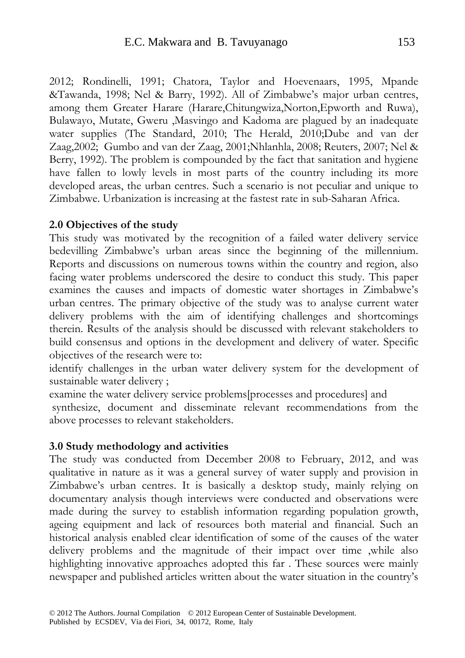2012; Rondinelli, 1991; Chatora, Taylor and Hoevenaars, 1995, Mpande &Tawanda, 1998; Nel & Barry, 1992). All of Zimbabwe's major urban centres, among them Greater Harare (Harare,Chitungwiza,Norton,Epworth and Ruwa), Bulawayo, Mutate, Gweru ,Masvingo and Kadoma are plagued by an inadequate water supplies (The Standard, 2010; The Herald, 2010;Dube and van der Zaag,2002; Gumbo and van der Zaag, 2001;Nhlanhla, 2008; Reuters, 2007; Nel & Berry, 1992). The problem is compounded by the fact that sanitation and hygiene have fallen to lowly levels in most parts of the country including its more developed areas, the urban centres. Such a scenario is not peculiar and unique to Zimbabwe. Urbanization is increasing at the fastest rate in sub-Saharan Africa.

#### **2.0 Objectives of the study**

This study was motivated by the recognition of a failed water delivery service bedevilling Zimbabwe's urban areas since the beginning of the millennium. Reports and discussions on numerous towns within the country and region, also facing water problems underscored the desire to conduct this study. This paper examines the causes and impacts of domestic water shortages in Zimbabwe's urban centres. The primary objective of the study was to analyse current water delivery problems with the aim of identifying challenges and shortcomings therein. Results of the analysis should be discussed with relevant stakeholders to build consensus and options in the development and delivery of water. Specific objectives of the research were to:

identify challenges in the urban water delivery system for the development of sustainable water delivery ;

examine the water delivery service problems[processes and procedures] and synthesize, document and disseminate relevant recommendations from the above processes to relevant stakeholders.

#### **3.0 Study methodology and activities**

The study was conducted from December 2008 to February, 2012, and was qualitative in nature as it was a general survey of water supply and provision in Zimbabwe's urban centres. It is basically a desktop study, mainly relying on documentary analysis though interviews were conducted and observations were made during the survey to establish information regarding population growth, ageing equipment and lack of resources both material and financial. Such an historical analysis enabled clear identification of some of the causes of the water delivery problems and the magnitude of their impact over time ,while also highlighting innovative approaches adopted this far . These sources were mainly newspaper and published articles written about the water situation in the country's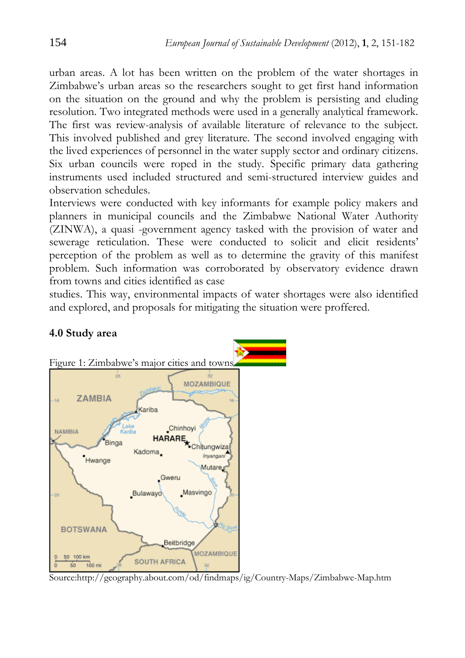urban areas. A lot has been written on the problem of the water shortages in Zimbabwe's urban areas so the researchers sought to get first hand information on the situation on the ground and why the problem is persisting and eluding resolution. Two integrated methods were used in a generally analytical framework. The first was review-analysis of available literature of relevance to the subject. This involved published and grey literature. The second involved engaging with the lived experiences of personnel in the water supply sector and ordinary citizens. Six urban councils were roped in the study. Specific primary data gathering instruments used included structured and semi-structured interview guides and observation schedules.

Interviews were conducted with key informants for example policy makers and planners in municipal councils and the Zimbabwe National Water Authority (ZINWA), a quasi -government agency tasked with the provision of water and sewerage reticulation. These were conducted to solicit and elicit residents' perception of the problem as well as to determine the gravity of this manifest problem. Such information was corroborated by observatory evidence drawn from towns and cities identified as case

studies. This way, environmental impacts of water shortages were also identified and explored, and proposals for mitigating the situation were proffered.



#### **4.0 Study area**

Source:http://geography.about.com/od/findmaps/ig/Country-Maps/Zimbabwe-Map.htm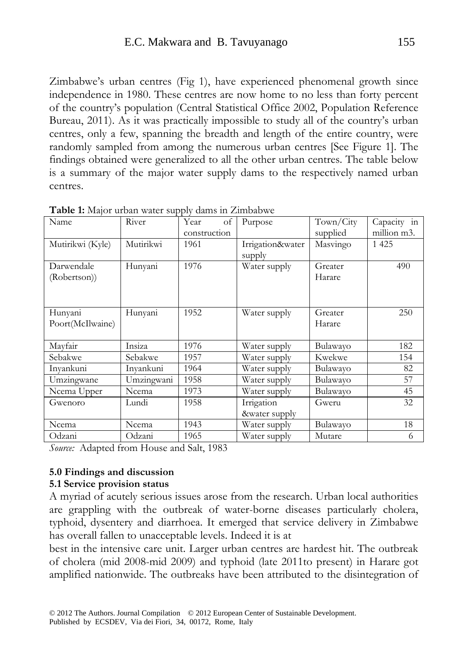Zimbabwe's urban centres (Fig 1), have experienced phenomenal growth since independence in 1980. These centres are now home to no less than forty percent of the country's population (Central Statistical Office 2002, Population Reference Bureau, 2011). As it was practically impossible to study all of the country's urban centres, only a few, spanning the breadth and length of the entire country, were randomly sampled from among the numerous urban centres [See Figure 1]. The findings obtained were generalized to all the other urban centres. The table below is a summary of the major water supply dams to the respectively named urban centres.

| Name             | River      | Year         | of | Purpose          | Town/City | Capacity in |
|------------------|------------|--------------|----|------------------|-----------|-------------|
|                  |            | construction |    |                  | supplied  | million m3. |
| Mutirikwi (Kyle) | Mutirikwi  | 1961         |    | Irrigation&water | Masvingo  | 1 4 2 5     |
|                  |            |              |    | supply           |           |             |
| Darwendale       | Hunyani    | 1976         |    | Water supply     | Greater   | 490         |
| (Robertson))     |            |              |    |                  | Harare    |             |
|                  |            |              |    |                  |           |             |
|                  |            |              |    |                  |           |             |
| Hunyani          | Hunyani    | 1952         |    | Water supply     | Greater   | 250         |
| Poort(McIlwaine) |            |              |    |                  | Harare    |             |
|                  |            |              |    |                  |           |             |
| Mayfair          | Insiza     | 1976         |    | Water supply     | Bulawayo  | 182         |
| Sebakwe          | Sebakwe    | 1957         |    | Water supply     | Kwekwe    | 154         |
| Inyankuni        | Inyankuni  | 1964         |    | Water supply     | Bulawayo  | 82          |
| Umzingwane       | Umzingwani | 1958         |    | Water supply     | Bulawayo  | 57          |
| Ncema Upper      | Ncema      | 1973         |    | Water supply     | Bulawayo  | 45          |
| Gwenoro          | Lundi      | 1958         |    | Irrigation       | Gweru     | 32          |
|                  |            |              |    | &water supply    |           |             |
| Ncema            | Ncema      | 1943         |    | Water supply     | Bulawayo  | 18          |
| Odzani           | Odzani     | 1965         |    | Water supply     | Mutare    | 6           |

**Table 1:** Major urban water supply dams in Zimbabwe

*Source:* Adapted from House and Salt, 1983

#### **5.0 Findings and discussion**

#### **5.1 Service provision status**

A myriad of acutely serious issues arose from the research. Urban local authorities are grappling with the outbreak of water-borne diseases particularly cholera, typhoid, dysentery and diarrhoea. It emerged that service delivery in Zimbabwe has overall fallen to unacceptable levels. Indeed it is at

best in the intensive care unit. Larger urban centres are hardest hit. The outbreak of cholera (mid 2008-mid 2009) and typhoid (late 2011to present) in Harare got amplified nationwide. The outbreaks have been attributed to the disintegration of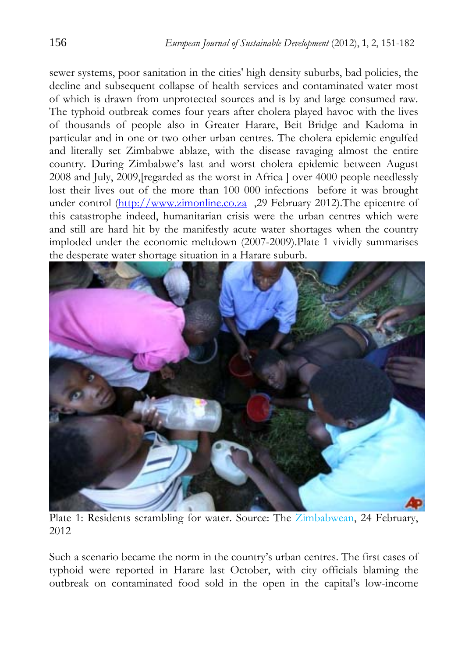sewer systems, poor sanitation in the cities' high density suburbs, bad policies, the decline and subsequent collapse of health services and contaminated water most of which is drawn from unprotected sources and is by and large consumed raw. The typhoid outbreak comes four years after cholera played havoc with the lives of thousands of people also in Greater Harare, Beit Bridge and Kadoma in particular and in one or two other urban centres. The cholera epidemic engulfed and literally set Zimbabwe ablaze, with the disease ravaging almost the entire country. During Zimbabwe's last and worst cholera epidemic between August 2008 and July, 2009,[regarded as the worst in Africa ] over 4000 people needlessly lost their lives out of the more than 100 000 infections before it was brought under control (http://www.zimonline.co.za ,29 February 2012). The epicentre of this catastrophe indeed, humanitarian crisis were the urban centres which were and still are hard hit by the manifestly acute water shortages when the country imploded under the economic meltdown (2007-2009).Plate 1 vividly summarises the desperate water shortage situation in a Harare suburb.



Plate 1: Residents scrambling for water. Source: The Zimbabwean, 24 February, 2012

Such a scenario became the norm in the country's urban centres. The first cases of typhoid were reported in Harare last October, with city officials blaming the outbreak on contaminated food sold in the open in the capital's low-income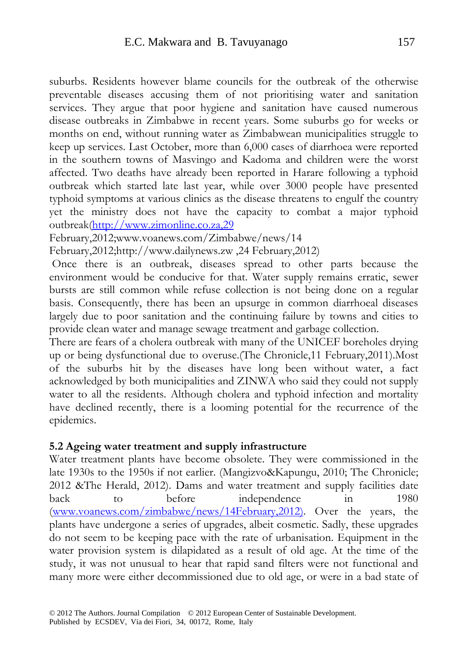suburbs. Residents however blame councils for the outbreak of the otherwise preventable diseases accusing them of not prioritising water and sanitation services. They argue that poor hygiene and sanitation have caused numerous disease outbreaks in Zimbabwe in recent years. Some suburbs go for weeks or months on end, without running water as Zimbabwean municipalities struggle to keep up services. Last October, more than 6,000 cases of diarrhoea were reported in the southern towns of Masvingo and Kadoma and children were the worst affected. Two deaths have already been reported in Harare following a typhoid outbreak which started late last year, while over 3000 people have presented typhoid symptoms at various clinics as the disease threatens to engulf the country yet the ministry does not have the capacity to combat a major typhoid outbreak(http://www.zimonline.co.za,29

February,2012;www.voanews.com/Zimbabwe/news/14

February,2012;http://www.dailynews.zw ,24 February,2012)

 Once there is an outbreak, diseases spread to other parts because the environment would be conducive for that. Water supply remains erratic, sewer bursts are still common while refuse collection is not being done on a regular basis. Consequently, there has been an upsurge in common diarrhoeal diseases largely due to poor sanitation and the continuing failure by towns and cities to provide clean water and manage sewage treatment and garbage collection.

There are fears of a cholera outbreak with many of the UNICEF boreholes drying up or being dysfunctional due to overuse.(The Chronicle,11 February,2011).Most of the suburbs hit by the diseases have long been without water, a fact acknowledged by both municipalities and ZINWA who said they could not supply water to all the residents. Although cholera and typhoid infection and mortality have declined recently, there is a looming potential for the recurrence of the epidemics.

#### **5.2 Ageing water treatment and supply infrastructure**

Water treatment plants have become obsolete. They were commissioned in the late 1930s to the 1950s if not earlier. (Mangizvo&Kapungu, 2010; The Chronicle; 2012 &The Herald, 2012). Dams and water treatment and supply facilities date back to before independence in 1980 (www.voanews.com/zimbabwe/news/14February,2012). Over the years, the plants have undergone a series of upgrades, albeit cosmetic. Sadly, these upgrades do not seem to be keeping pace with the rate of urbanisation. Equipment in the water provision system is dilapidated as a result of old age. At the time of the study, it was not unusual to hear that rapid sand filters were not functional and many more were either decommissioned due to old age, or were in a bad state of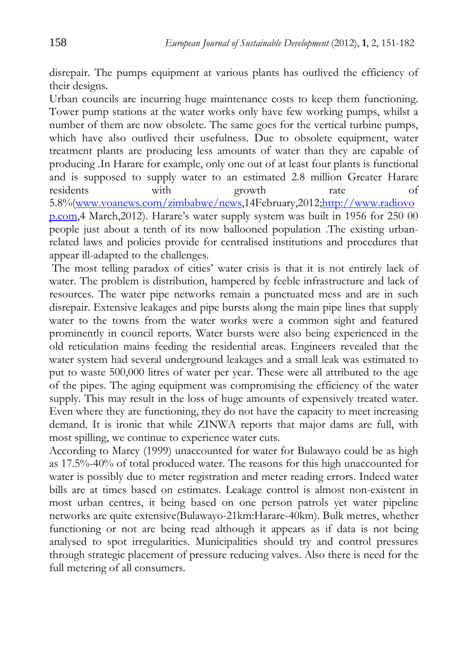disrepair. The pumps equipment at various plants has outlived the efficiency of their designs.

Urban councils are incurring huge maintenance costs to keep them functioning. Tower pump stations at the water works only have few working pumps, whilst a number of them are now obsolete. The same goes for the vertical turbine pumps, which have also outlived their usefulness. Due to obsolete equipment, water treatment plants are producing less amounts of water than they are capable of producing .In Harare for example, only one out of at least four plants is functional and is supposed to supply water to an estimated 2.8 million Greater Harare residents with growth rate of 5.8%(www.voanews.com/zimbabwe/news,14February,2012;http://www.radiovo p.com,4 March,2012). Harare's water supply system was built in 1956 for 250 00 people just about a tenth of its now ballooned population .The existing urbanrelated laws and policies provide for centralised institutions and procedures that appear ill-adapted to the challenges.

 The most telling paradox of cities' water crisis is that it is not entirely lack of water. The problem is distribution, hampered by feeble infrastructure and lack of resources. The water pipe networks remain a punctuated mess and are in such disrepair. Extensive leakages and pipe bursts along the main pipe lines that supply water to the towns from the water works were a common sight and featured prominently in council reports. Water bursts were also being experienced in the old reticulation mains feeding the residential areas. Engineers revealed that the water system had several underground leakages and a small leak was estimated to put to waste 500,000 litres of water per year. These were all attributed to the age of the pipes. The aging equipment was compromising the efficiency of the water supply. This may result in the loss of huge amounts of expensively treated water. Even where they are functioning, they do not have the capacity to meet increasing demand. It is ironic that while ZINWA reports that major dams are full, with most spilling, we continue to experience water cuts.

According to Marcy (1999) unaccounted for water for Bulawayo could be as high as 17.5%-40% of total produced water. The reasons for this high unaccounted for water is possibly due to meter registration and meter reading errors. Indeed water bills are at times based on estimates. Leakage control is almost non-existent in most urban centres, it being based on one person patrols yet water pipeline networks are quite extensive(Bulawayo-21km:Harare-40km). Bulk metres, whether functioning or not are being read although it appears as if data is not being analysed to spot irregularities. Municipalities should try and control pressures through strategic placement of pressure reducing valves. Also there is need for the full metering of all consumers.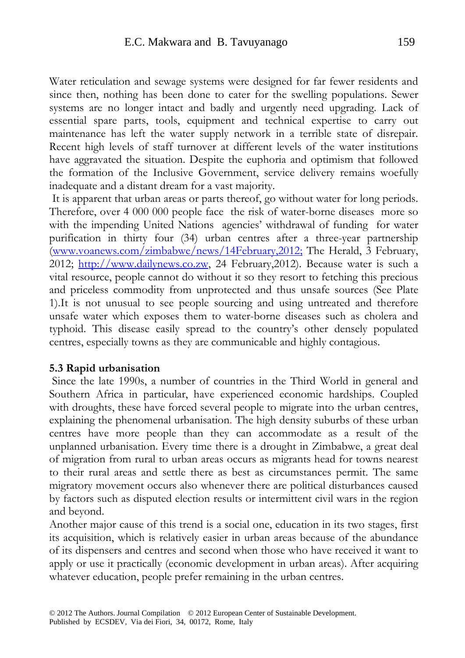Water reticulation and sewage systems were designed for far fewer residents and since then, nothing has been done to cater for the swelling populations. Sewer systems are no longer intact and badly and urgently need upgrading. Lack of essential spare parts, tools, equipment and technical expertise to carry out maintenance has left the water supply network in a terrible state of disrepair. Recent high levels of staff turnover at different levels of the water institutions have aggravated the situation. Despite the euphoria and optimism that followed the formation of the Inclusive Government, service delivery remains woefully inadequate and a distant dream for a vast majority.

 It is apparent that urban areas or parts thereof, go without water for long periods. Therefore, over 4 000 000 people face the risk of water-borne diseases more so with the impending United Nations agencies' withdrawal of funding for water purification in thirty four (34) urban centres after a three-year partnership (www.voanews.com/zimbabwe/news/14February,2012; The Herald, 3 February, 2012; http://www.dailynews.co.zw, 24 February,2012). Because water is such a vital resource, people cannot do without it so they resort to fetching this precious and priceless commodity from unprotected and thus unsafe sources (See Plate 1).It is not unusual to see people sourcing and using untreated and therefore unsafe water which exposes them to water-borne diseases such as cholera and typhoid. This disease easily spread to the country's other densely populated centres, especially towns as they are communicable and highly contagious.

#### **5.3 Rapid urbanisation**

 Since the late 1990s, a number of countries in the Third World in general and Southern Africa in particular, have experienced economic hardships. Coupled with droughts, these have forced several people to migrate into the urban centres, explaining the phenomenal urbanisation. The high density suburbs of these urban centres have more people than they can accommodate as a result of the unplanned urbanisation. Every time there is a drought in Zimbabwe, a great deal of migration from rural to urban areas occurs as migrants head for towns nearest to their rural areas and settle there as best as circumstances permit. The same migratory movement occurs also whenever there are political disturbances caused by factors such as disputed election results or intermittent civil wars in the region and beyond.

Another major cause of this trend is a social one, education in its two stages, first its acquisition, which is relatively easier in urban areas because of the abundance of its dispensers and centres and second when those who have received it want to apply or use it practically (economic development in urban areas). After acquiring whatever education, people prefer remaining in the urban centres.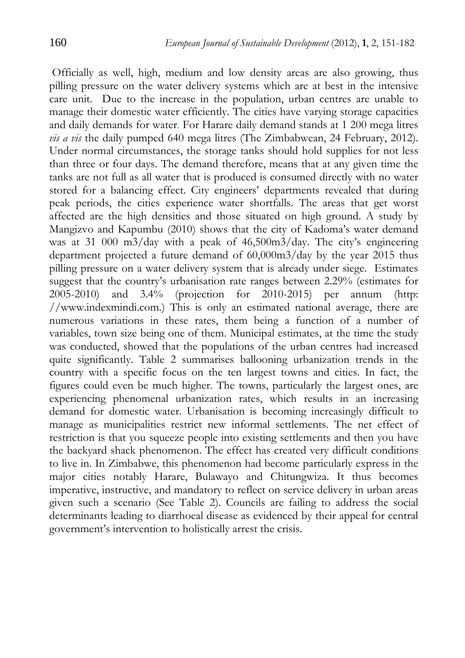Officially as well, high, medium and low density areas are also growing, thus pilling pressure on the water delivery systems which are at best in the intensive care unit. Due to the increase in the population, urban centres are unable to manage their domestic water efficiently. The cities have varying storage capacities and daily demands for water. For Harare daily demand stands at 1 200 mega litres *vis a vis* the daily pumped 640 mega litres (The Zimbabwean, 24 February, 2012). Under normal circumstances, the storage tanks should hold supplies for not less than three or four days. The demand therefore, means that at any given time the tanks are not full as all water that is produced is consumed directly with no water stored for a balancing effect. City engineers' departments revealed that during peak periods, the cities experience water shortfalls. The areas that get worst affected are the high densities and those situated on high ground. A study by Mangizvo and Kapumbu (2010) shows that the city of Kadoma's water demand was at 31 000 m3/day with a peak of 46,500m3/day. The city's engineering department projected a future demand of 60,000m3/day by the year 2015 thus pilling pressure on a water delivery system that is already under siege. Estimates suggest that the country's urbanisation rate ranges between 2.29% (estimates for 2005-2010) and 3.4% (projection for 2010-2015) per annum (http: //www.indexmindi.com.) This is only an estimated national average, there are numerous variations in these rates, them being a function of a number of variables, town size being one of them. Municipal estimates, at the time the study was conducted, showed that the populations of the urban centres had increased quite significantly. Table 2 summarises ballooning urbanization trends in the country with a specific focus on the ten largest towns and cities. In fact, the figures could even be much higher. The towns, particularly the largest ones, are experiencing phenomenal urbanization rates, which results in an increasing demand for domestic water. Urbanisation is becoming increasingly difficult to manage as municipalities restrict new informal settlements. The net effect of restriction is that you squeeze people into existing settlements and then you have the backyard shack phenomenon. The effect has created very difficult conditions to live in. In Zimbabwe, this phenomenon had become particularly express in the major cities notably Harare, Bulawayo and Chitungwiza. It thus becomes imperative, instructive, and mandatory to reflect on service delivery in urban areas given such a scenario (See Table 2). Councils are failing to address the social determinants leading to diarrhoeal disease as evidenced by their appeal for central government's intervention to holistically arrest the crisis.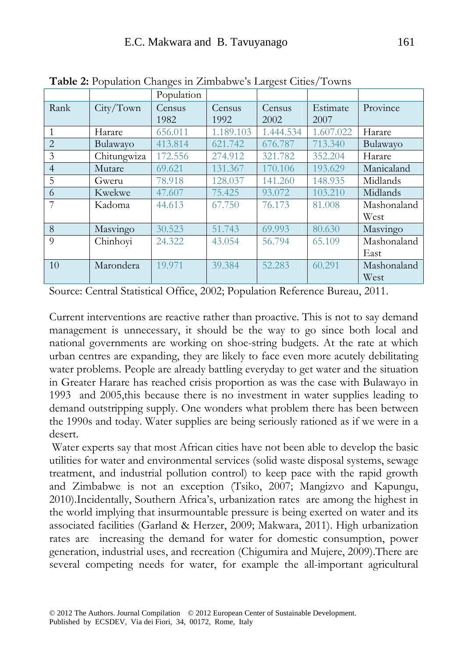#### E.C. Makwara and B. Tavuyanago 161

|                | <b>Twice E.</b> I optimuoti changes in Emiload We s Eargest Chucs/ Towns | Population     |                |                |                  |             |
|----------------|--------------------------------------------------------------------------|----------------|----------------|----------------|------------------|-------------|
| Rank           | City/Town                                                                | Census<br>1982 | Census<br>1992 | Census<br>2002 | Estimate<br>2007 | Province    |
| $\mathbf{1}$   | Harare                                                                   | 656.011        | 1.189.103      | 1.444.534      | 1.607.022        | Harare      |
| $\overline{2}$ | Bulawayo                                                                 | 413.814        | 621.742        | 676.787        | 713.340          | Bulawayo    |
| 3              | Chitungwiza                                                              | 172.556        | 274.912        | 321.782        | 352.204          | Harare      |
| $\overline{4}$ | Mutare                                                                   | 69.621         | 131.367        | 170.106        | 193.629          | Manicaland  |
| 5              | Gweru                                                                    | 78.918         | 128.037        | 141.260        | 148.935          | Midlands    |
| 6              | Kwekwe                                                                   | 47.607         | 75.425         | 93.072         | 103.210          | Midlands    |
| 7              | Kadoma                                                                   | 44.613         | 67.750         | 76.173         | 81.008           | Mashonaland |
|                |                                                                          |                |                |                |                  | West        |
| 8              | Masvingo                                                                 | 30.523         | 51.743         | 69.993         | 80.630           | Masvingo    |
| $\overline{Q}$ | Chinhoyi                                                                 | 24.322         | 43.054         | 56.794         | 65.109           | Mashonaland |
|                |                                                                          |                |                |                |                  | East        |
| 10             | Marondera                                                                | 19.971         | 39.384         | 52.283         | 60.291           | Mashonaland |
|                |                                                                          |                |                |                |                  | West        |

**Table 2:** Population Changes in Zimbabwe's Largest Cities/Towns

Source: Central Statistical Office, 2002; Population Reference Bureau, 2011.

Current interventions are reactive rather than proactive. This is not to say demand management is unnecessary, it should be the way to go since both local and national governments are working on shoe-string budgets. At the rate at which urban centres are expanding, they are likely to face even more acutely debilitating water problems. People are already battling everyday to get water and the situation in Greater Harare has reached crisis proportion as was the case with Bulawayo in 1993 and 2005,this because there is no investment in water supplies leading to demand outstripping supply. One wonders what problem there has been between the 1990s and today. Water supplies are being seriously rationed as if we were in a desert.

 Water experts say that most African cities have not been able to develop the basic utilities for water and environmental services (solid waste disposal systems, sewage treatment, and industrial pollution control) to keep pace with the rapid growth and Zimbabwe is not an exception (Tsiko, 2007; Mangizvo and Kapungu, 2010).Incidentally, Southern Africa's, urbanization rates are among the highest in the world implying that insurmountable pressure is being exerted on water and its associated facilities (Garland & Herzer, 2009; Makwara, 2011). High urbanization rates are increasing the demand for water for domestic consumption, power generation, industrial uses, and recreation (Chigumira and Mujere, 2009).There are several competing needs for water, for example the all-important agricultural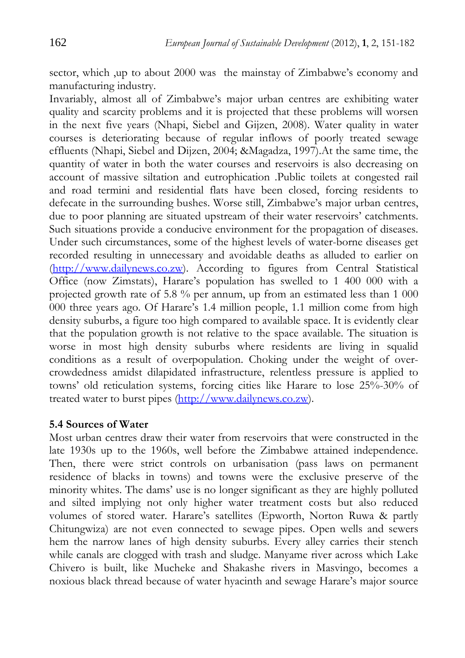sector, which ,up to about 2000 was the mainstay of Zimbabwe's economy and manufacturing industry.

Invariably, almost all of Zimbabwe's major urban centres are exhibiting water quality and scarcity problems and it is projected that these problems will worsen in the next five years (Nhapi, Siebel and Gijzen, 2008). Water quality in water courses is deteriorating because of regular inflows of poorly treated sewage effluents (Nhapi, Siebel and Dijzen, 2004; &Magadza, 1997).At the same time, the quantity of water in both the water courses and reservoirs is also decreasing on account of massive siltation and eutrophication .Public toilets at congested rail and road termini and residential flats have been closed, forcing residents to defecate in the surrounding bushes. Worse still, Zimbabwe's major urban centres, due to poor planning are situated upstream of their water reservoirs' catchments. Such situations provide a conducive environment for the propagation of diseases. Under such circumstances, some of the highest levels of water-borne diseases get recorded resulting in unnecessary and avoidable deaths as alluded to earlier on (http://www.dailynews.co.zw). According to figures from Central Statistical Office (now Zimstats), Harare's population has swelled to 1 400 000 with a projected growth rate of 5.8 % per annum, up from an estimated less than 1 000 000 three years ago. Of Harare's 1.4 million people, 1.1 million come from high density suburbs, a figure too high compared to available space. It is evidently clear that the population growth is not relative to the space available. The situation is worse in most high density suburbs where residents are living in squalid conditions as a result of overpopulation. Choking under the weight of overcrowdedness amidst dilapidated infrastructure, relentless pressure is applied to towns' old reticulation systems, forcing cities like Harare to lose 25%-30% of treated water to burst pipes (http://www.dailynews.co.zw).

### **5.4 Sources of Water**

Most urban centres draw their water from reservoirs that were constructed in the late 1930s up to the 1960s, well before the Zimbabwe attained independence. Then, there were strict controls on urbanisation (pass laws on permanent residence of blacks in towns) and towns were the exclusive preserve of the minority whites. The dams' use is no longer significant as they are highly polluted and silted implying not only higher water treatment costs but also reduced volumes of stored water. Harare's satellites (Epworth, Norton Ruwa & partly Chitungwiza) are not even connected to sewage pipes. Open wells and sewers hem the narrow lanes of high density suburbs. Every alley carries their stench while canals are clogged with trash and sludge. Manyame river across which Lake Chivero is built, like Mucheke and Shakashe rivers in Masvingo, becomes a noxious black thread because of water hyacinth and sewage Harare's major source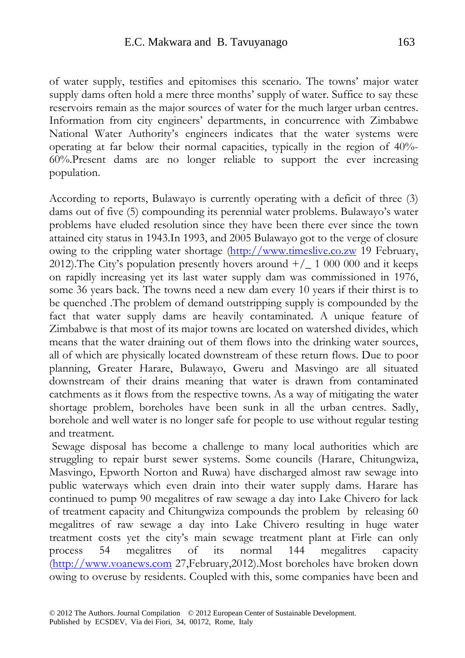of water supply, testifies and epitomises this scenario. The towns' major water supply dams often hold a mere three months' supply of water. Suffice to say these reservoirs remain as the major sources of water for the much larger urban centres. Information from city engineers' departments, in concurrence with Zimbabwe National Water Authority's engineers indicates that the water systems were operating at far below their normal capacities, typically in the region of 40%- 60%.Present dams are no longer reliable to support the ever increasing population.

According to reports, Bulawayo is currently operating with a deficit of three (3) dams out of five (5) compounding its perennial water problems. Bulawayo's water problems have eluded resolution since they have been there ever since the town attained city status in 1943.In 1993, and 2005 Bulawayo got to the verge of closure owing to the crippling water shortage (http://www.timeslive.co.zw 19 February, 2012). The City's population presently hovers around  $+/-1$  000 000 and it keeps on rapidly increasing yet its last water supply dam was commissioned in 1976, some 36 years back. The towns need a new dam every 10 years if their thirst is to be quenched .The problem of demand outstripping supply is compounded by the fact that water supply dams are heavily contaminated. A unique feature of Zimbabwe is that most of its major towns are located on watershed divides, which means that the water draining out of them flows into the drinking water sources, all of which are physically located downstream of these return flows. Due to poor planning, Greater Harare, Bulawayo, Gweru and Masvingo are all situated downstream of their drains meaning that water is drawn from contaminated catchments as it flows from the respective towns. As a way of mitigating the water shortage problem, boreholes have been sunk in all the urban centres. Sadly, borehole and well water is no longer safe for people to use without regular testing and treatment.

Sewage disposal has become a challenge to many local authorities which are struggling to repair burst sewer systems. Some councils (Harare, Chitungwiza, Masvingo, Epworth Norton and Ruwa) have discharged almost raw sewage into public waterways which even drain into their water supply dams. Harare has continued to pump 90 megalitres of raw sewage a day into Lake Chivero for lack of treatment capacity and Chitungwiza compounds the problem by releasing 60 megalitres of raw sewage a day into Lake Chivero resulting in huge water treatment costs yet the city's main sewage treatment plant at Firle can only process 54 megalitres of its normal 144 megalitres capacity (http://www.voanews.com 27,February,2012).Most boreholes have broken down owing to overuse by residents. Coupled with this, some companies have been and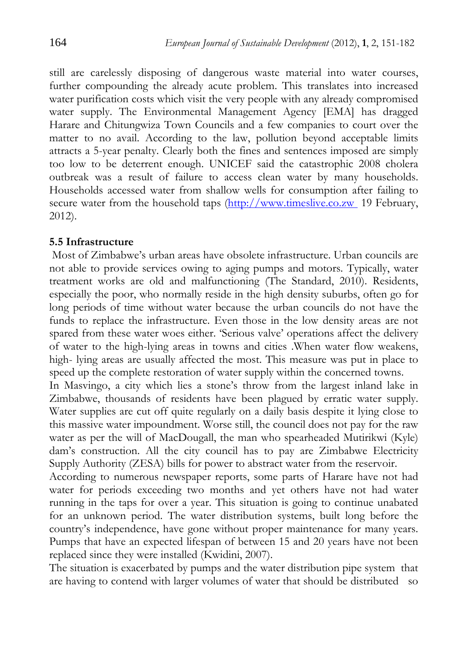still are carelessly disposing of dangerous waste material into water courses, further compounding the already acute problem. This translates into increased water purification costs which visit the very people with any already compromised water supply. The Environmental Management Agency [EMA] has dragged Harare and Chitungwiza Town Councils and a few companies to court over the matter to no avail. According to the law, pollution beyond acceptable limits attracts a 5-year penalty. Clearly both the fines and sentences imposed are simply too low to be deterrent enough. UNICEF said the catastrophic 2008 cholera outbreak was a result of failure to access clean water by many households. Households accessed water from shallow wells for consumption after failing to secure water from the household taps (http://www.timeslive.co.zw 19 February, 2012).

#### **5.5 Infrastructure**

 Most of Zimbabwe's urban areas have obsolete infrastructure. Urban councils are not able to provide services owing to aging pumps and motors. Typically, water treatment works are old and malfunctioning (The Standard, 2010). Residents, especially the poor, who normally reside in the high density suburbs, often go for long periods of time without water because the urban councils do not have the funds to replace the infrastructure. Even those in the low density areas are not spared from these water woes either. 'Serious valve' operations affect the delivery of water to the high-lying areas in towns and cities .When water flow weakens, high- lying areas are usually affected the most. This measure was put in place to speed up the complete restoration of water supply within the concerned towns.

In Masvingo, a city which lies a stone's throw from the largest inland lake in Zimbabwe, thousands of residents have been plagued by erratic water supply. Water supplies are cut off quite regularly on a daily basis despite it lying close to this massive water impoundment. Worse still, the council does not pay for the raw water as per the will of MacDougall, the man who spearheaded Mutirikwi (Kyle) dam's construction. All the city council has to pay are Zimbabwe Electricity Supply Authority (ZESA) bills for power to abstract water from the reservoir.

According to numerous newspaper reports, some parts of Harare have not had water for periods exceeding two months and yet others have not had water running in the taps for over a year. This situation is going to continue unabated for an unknown period. The water distribution systems, built long before the country's independence, have gone without proper maintenance for many years. Pumps that have an expected lifespan of between 15 and 20 years have not been replaced since they were installed (Kwidini, 2007).

The situation is exacerbated by pumps and the water distribution pipe system that are having to contend with larger volumes of water that should be distributed so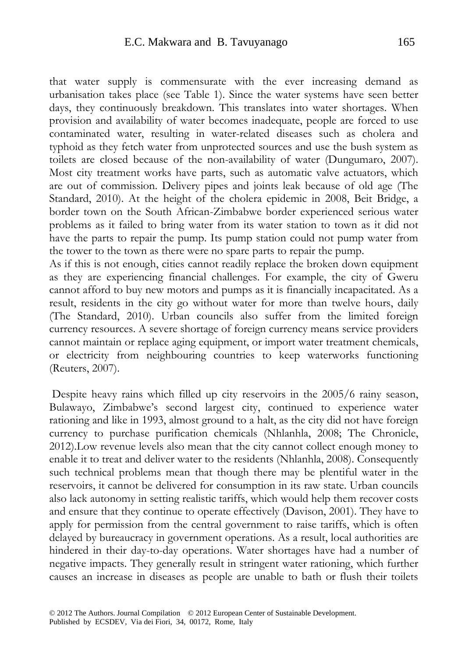that water supply is commensurate with the ever increasing demand as urbanisation takes place (see Table 1). Since the water systems have seen better days, they continuously breakdown. This translates into water shortages. When provision and availability of water becomes inadequate, people are forced to use contaminated water, resulting in water-related diseases such as cholera and typhoid as they fetch water from unprotected sources and use the bush system as toilets are closed because of the non-availability of water (Dungumaro, 2007). Most city treatment works have parts, such as automatic valve actuators, which are out of commission. Delivery pipes and joints leak because of old age (The Standard, 2010). At the height of the cholera epidemic in 2008, Beit Bridge, a border town on the South African-Zimbabwe border experienced serious water problems as it failed to bring water from its water station to town as it did not have the parts to repair the pump. Its pump station could not pump water from the tower to the town as there were no spare parts to repair the pump.

As if this is not enough, cities cannot readily replace the broken down equipment as they are experiencing financial challenges. For example, the city of Gweru cannot afford to buy new motors and pumps as it is financially incapacitated. As a result, residents in the city go without water for more than twelve hours, daily (The Standard, 2010). Urban councils also suffer from the limited foreign currency resources. A severe shortage of foreign currency means service providers cannot maintain or replace aging equipment, or import water treatment chemicals, or electricity from neighbouring countries to keep waterworks functioning (Reuters, 2007).

 Despite heavy rains which filled up city reservoirs in the 2005/6 rainy season, Bulawayo, Zimbabwe's second largest city, continued to experience water rationing and like in 1993, almost ground to a halt, as the city did not have foreign currency to purchase purification chemicals (Nhlanhla, 2008; The Chronicle, 2012).Low revenue levels also mean that the city cannot collect enough money to enable it to treat and deliver water to the residents (Nhlanhla, 2008). Consequently such technical problems mean that though there may be plentiful water in the reservoirs, it cannot be delivered for consumption in its raw state. Urban councils also lack autonomy in setting realistic tariffs, which would help them recover costs and ensure that they continue to operate effectively (Davison, 2001). They have to apply for permission from the central government to raise tariffs, which is often delayed by bureaucracy in government operations. As a result, local authorities are hindered in their day-to-day operations. Water shortages have had a number of negative impacts. They generally result in stringent water rationing, which further causes an increase in diseases as people are unable to bath or flush their toilets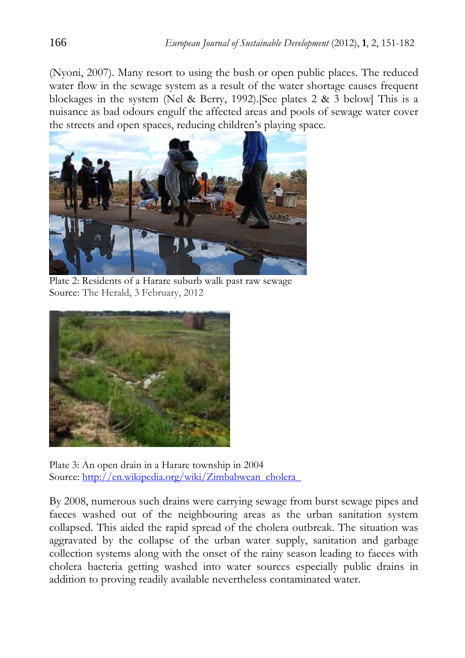(Nyoni, 2007). Many resort to using the bush or open public places. The reduced water flow in the sewage system as a result of the water shortage causes frequent blockages in the system (Nel & Berry, 1992).[See plates 2 & 3 below] This is a nuisance as bad odours engulf the affected areas and pools of sewage water cover the streets and open spaces, reducing children's playing space.



Plate 2: Residents of a Harare suburb walk past raw sewage Source: The Herald, 3 February, 2012



Plate 3: An open drain in a Harare township in 2004 Source: http://en.wikipedia.org/wiki/Zimbabwean\_cholera\_

By 2008, numerous such drains were carrying sewage from burst sewage pipes and faeces washed out of the neighbouring areas as the urban sanitation system collapsed. This aided the rapid spread of the cholera outbreak. The situation was aggravated by the collapse of the urban water supply, sanitation and garbage collection systems along with the onset of the rainy season leading to faeces with cholera bacteria getting washed into water sources especially public drains in addition to proving readily available nevertheless contaminated water.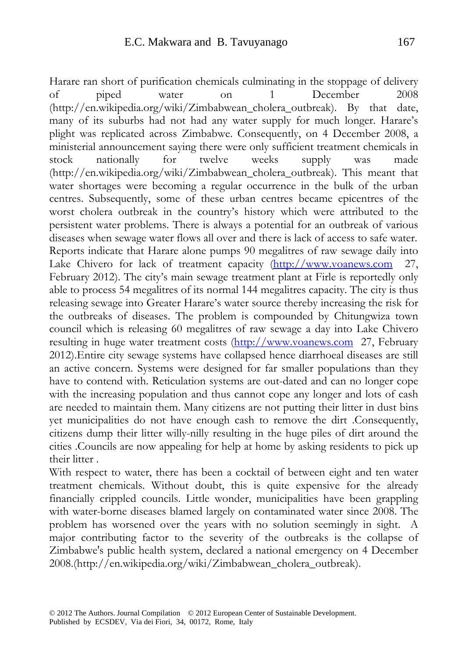Harare ran short of purification chemicals culminating in the stoppage of delivery of piped water on 1 December 2008 (http://en.wikipedia.org/wiki/Zimbabwean\_cholera\_outbreak). By that date, many of its suburbs had not had any water supply for much longer. Harare's plight was replicated across Zimbabwe. Consequently, on 4 December 2008, a ministerial announcement saying there were only sufficient treatment chemicals in stock nationally for twelve weeks supply was made (http://en.wikipedia.org/wiki/Zimbabwean\_cholera\_outbreak). This meant that water shortages were becoming a regular occurrence in the bulk of the urban centres. Subsequently, some of these urban centres became epicentres of the worst cholera outbreak in the country's history which were attributed to the persistent water problems. There is always a potential for an outbreak of various diseases when sewage water flows all over and there is lack of access to safe water. Reports indicate that Harare alone pumps 90 megalitres of raw sewage daily into Lake Chivero for lack of treatment capacity (http://www.voanews.com 27, February 2012). The city's main sewage treatment plant at Firle is reportedly only able to process 54 megalitres of its normal 144 megalitres capacity. The city is thus releasing sewage into Greater Harare's water source thereby increasing the risk for the outbreaks of diseases. The problem is compounded by Chitungwiza town council which is releasing 60 megalitres of raw sewage a day into Lake Chivero resulting in huge water treatment costs (http://www.voanews.com 27, February 2012).Entire city sewage systems have collapsed hence diarrhoeal diseases are still an active concern. Systems were designed for far smaller populations than they have to contend with. Reticulation systems are out-dated and can no longer cope with the increasing population and thus cannot cope any longer and lots of cash are needed to maintain them. Many citizens are not putting their litter in dust bins yet municipalities do not have enough cash to remove the dirt .Consequently, citizens dump their litter willy-nilly resulting in the huge piles of dirt around the cities .Councils are now appealing for help at home by asking residents to pick up their litter .

With respect to water, there has been a cocktail of between eight and ten water treatment chemicals. Without doubt, this is quite expensive for the already financially crippled councils. Little wonder, municipalities have been grappling with water-borne diseases blamed largely on contaminated water since 2008. The problem has worsened over the years with no solution seemingly in sight. A major contributing factor to the severity of the outbreaks is the collapse of Zimbabwe's public health system, declared a national emergency on 4 December 2008.(http://en.wikipedia.org/wiki/Zimbabwean\_cholera\_outbreak).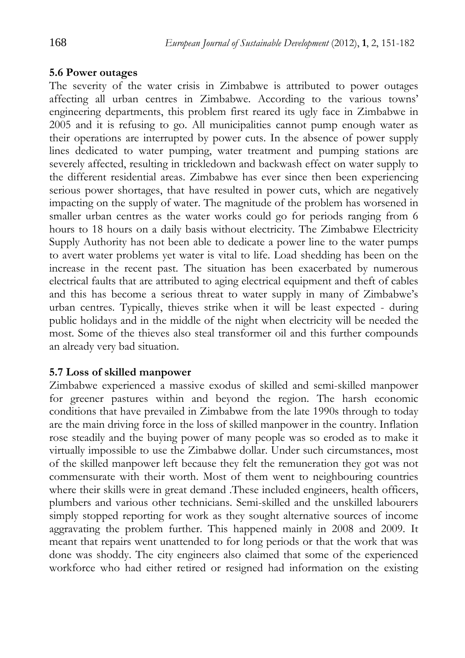### **5.6 Power outages**

The severity of the water crisis in Zimbabwe is attributed to power outages affecting all urban centres in Zimbabwe. According to the various towns' engineering departments, this problem first reared its ugly face in Zimbabwe in 2005 and it is refusing to go. All municipalities cannot pump enough water as their operations are interrupted by power cuts. In the absence of power supply lines dedicated to water pumping, water treatment and pumping stations are severely affected, resulting in trickledown and backwash effect on water supply to the different residential areas. Zimbabwe has ever since then been experiencing serious power shortages, that have resulted in power cuts, which are negatively impacting on the supply of water. The magnitude of the problem has worsened in smaller urban centres as the water works could go for periods ranging from 6 hours to 18 hours on a daily basis without electricity. The Zimbabwe Electricity Supply Authority has not been able to dedicate a power line to the water pumps to avert water problems yet water is vital to life. Load shedding has been on the increase in the recent past. The situation has been exacerbated by numerous electrical faults that are attributed to aging electrical equipment and theft of cables and this has become a serious threat to water supply in many of Zimbabwe's urban centres. Typically, thieves strike when it will be least expected - during public holidays and in the middle of the night when electricity will be needed the most. Some of the thieves also steal transformer oil and this further compounds an already very bad situation.

### **5.7 Loss of skilled manpower**

Zimbabwe experienced a massive exodus of skilled and semi-skilled manpower for greener pastures within and beyond the region. The harsh economic conditions that have prevailed in Zimbabwe from the late 1990s through to today are the main driving force in the loss of skilled manpower in the country. Inflation rose steadily and the buying power of many people was so eroded as to make it virtually impossible to use the Zimbabwe dollar. Under such circumstances, most of the skilled manpower left because they felt the remuneration they got was not commensurate with their worth. Most of them went to neighbouring countries where their skills were in great demand .These included engineers, health officers, plumbers and various other technicians. Semi-skilled and the unskilled labourers simply stopped reporting for work as they sought alternative sources of income aggravating the problem further. This happened mainly in 2008 and 2009. It meant that repairs went unattended to for long periods or that the work that was done was shoddy. The city engineers also claimed that some of the experienced workforce who had either retired or resigned had information on the existing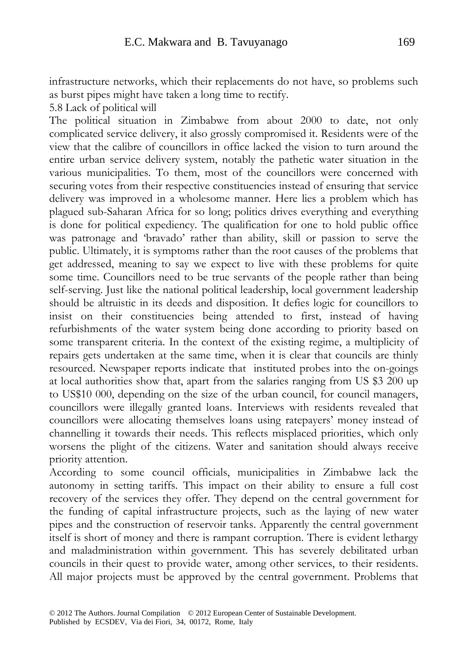infrastructure networks, which their replacements do not have, so problems such as burst pipes might have taken a long time to rectify.

5.8 Lack of political will

The political situation in Zimbabwe from about 2000 to date, not only complicated service delivery, it also grossly compromised it. Residents were of the view that the calibre of councillors in office lacked the vision to turn around the entire urban service delivery system, notably the pathetic water situation in the various municipalities. To them, most of the councillors were concerned with securing votes from their respective constituencies instead of ensuring that service delivery was improved in a wholesome manner. Here lies a problem which has plagued sub-Saharan Africa for so long; politics drives everything and everything is done for political expediency. The qualification for one to hold public office was patronage and 'bravado' rather than ability, skill or passion to serve the public. Ultimately, it is symptoms rather than the root causes of the problems that get addressed, meaning to say we expect to live with these problems for quite some time. Councillors need to be true servants of the people rather than being self-serving. Just like the national political leadership, local government leadership should be altruistic in its deeds and disposition. It defies logic for councillors to insist on their constituencies being attended to first, instead of having refurbishments of the water system being done according to priority based on some transparent criteria. In the context of the existing regime, a multiplicity of repairs gets undertaken at the same time, when it is clear that councils are thinly resourced. Newspaper reports indicate that instituted probes into the on-goings at local authorities show that, apart from the salaries ranging from US \$3 200 up to US\$10 000, depending on the size of the urban council, for council managers, councillors were illegally granted loans. Interviews with residents revealed that councillors were allocating themselves loans using ratepayers' money instead of channelling it towards their needs. This reflects misplaced priorities, which only worsens the plight of the citizens. Water and sanitation should always receive priority attention.

According to some council officials, municipalities in Zimbabwe lack the autonomy in setting tariffs. This impact on their ability to ensure a full cost recovery of the services they offer. They depend on the central government for the funding of capital infrastructure projects, such as the laying of new water pipes and the construction of reservoir tanks. Apparently the central government itself is short of money and there is rampant corruption. There is evident lethargy and maladministration within government. This has severely debilitated urban councils in their quest to provide water, among other services, to their residents. All major projects must be approved by the central government. Problems that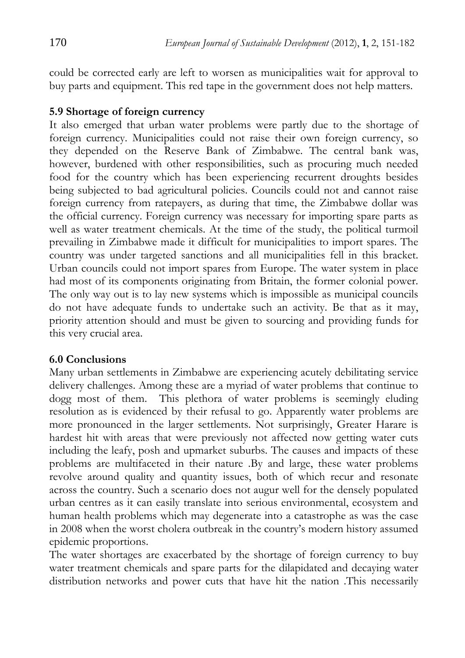could be corrected early are left to worsen as municipalities wait for approval to buy parts and equipment. This red tape in the government does not help matters.

### **5.9 Shortage of foreign currency**

It also emerged that urban water problems were partly due to the shortage of foreign currency. Municipalities could not raise their own foreign currency, so they depended on the Reserve Bank of Zimbabwe. The central bank was, however, burdened with other responsibilities, such as procuring much needed food for the country which has been experiencing recurrent droughts besides being subjected to bad agricultural policies. Councils could not and cannot raise foreign currency from ratepayers, as during that time, the Zimbabwe dollar was the official currency. Foreign currency was necessary for importing spare parts as well as water treatment chemicals. At the time of the study, the political turmoil prevailing in Zimbabwe made it difficult for municipalities to import spares. The country was under targeted sanctions and all municipalities fell in this bracket. Urban councils could not import spares from Europe. The water system in place had most of its components originating from Britain, the former colonial power. The only way out is to lay new systems which is impossible as municipal councils do not have adequate funds to undertake such an activity. Be that as it may, priority attention should and must be given to sourcing and providing funds for this very crucial area.

### **6.0 Conclusions**

Many urban settlements in Zimbabwe are experiencing acutely debilitating service delivery challenges. Among these are a myriad of water problems that continue to dogg most of them. This plethora of water problems is seemingly eluding resolution as is evidenced by their refusal to go. Apparently water problems are more pronounced in the larger settlements. Not surprisingly, Greater Harare is hardest hit with areas that were previously not affected now getting water cuts including the leafy, posh and upmarket suburbs. The causes and impacts of these problems are multifaceted in their nature .By and large, these water problems revolve around quality and quantity issues, both of which recur and resonate across the country. Such a scenario does not augur well for the densely populated urban centres as it can easily translate into serious environmental, ecosystem and human health problems which may degenerate into a catastrophe as was the case in 2008 when the worst cholera outbreak in the country's modern history assumed epidemic proportions.

The water shortages are exacerbated by the shortage of foreign currency to buy water treatment chemicals and spare parts for the dilapidated and decaying water distribution networks and power cuts that have hit the nation .This necessarily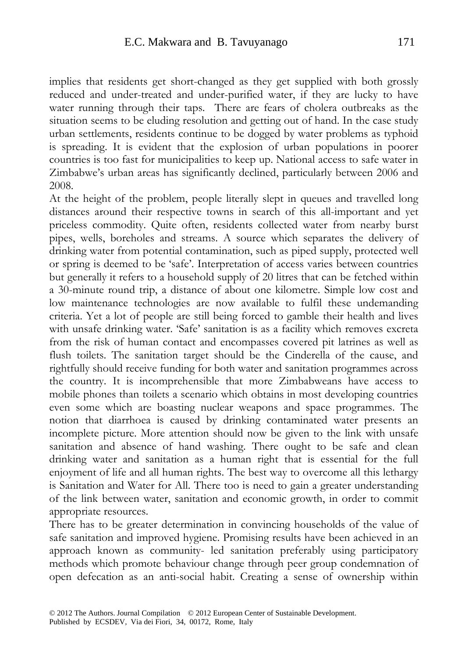implies that residents get short-changed as they get supplied with both grossly reduced and under-treated and under-purified water, if they are lucky to have water running through their taps. There are fears of cholera outbreaks as the situation seems to be eluding resolution and getting out of hand. In the case study urban settlements, residents continue to be dogged by water problems as typhoid is spreading. It is evident that the explosion of urban populations in poorer countries is too fast for municipalities to keep up. National access to safe water in Zimbabwe's urban areas has significantly declined, particularly between 2006 and 2008.

At the height of the problem, people literally slept in queues and travelled long distances around their respective towns in search of this all-important and yet priceless commodity. Quite often, residents collected water from nearby burst pipes, wells, boreholes and streams. A source which separates the delivery of drinking water from potential contamination, such as piped supply, protected well or spring is deemed to be 'safe'. Interpretation of access varies between countries but generally it refers to a household supply of 20 litres that can be fetched within a 30-minute round trip, a distance of about one kilometre. Simple low cost and low maintenance technologies are now available to fulfil these undemanding criteria. Yet a lot of people are still being forced to gamble their health and lives with unsafe drinking water. 'Safe' sanitation is as a facility which removes excreta from the risk of human contact and encompasses covered pit latrines as well as flush toilets. The sanitation target should be the Cinderella of the cause, and rightfully should receive funding for both water and sanitation programmes across the country. It is incomprehensible that more Zimbabweans have access to mobile phones than toilets a scenario which obtains in most developing countries even some which are boasting nuclear weapons and space programmes. The notion that diarrhoea is caused by drinking contaminated water presents an incomplete picture. More attention should now be given to the link with unsafe sanitation and absence of hand washing. There ought to be safe and clean drinking water and sanitation as a human right that is essential for the full enjoyment of life and all human rights. The best way to overcome all this lethargy is Sanitation and Water for All. There too is need to gain a greater understanding of the link between water, sanitation and economic growth, in order to commit appropriate resources.

There has to be greater determination in convincing households of the value of safe sanitation and improved hygiene. Promising results have been achieved in an approach known as community- led sanitation preferably using participatory methods which promote behaviour change through peer group condemnation of open defecation as an anti-social habit. Creating a sense of ownership within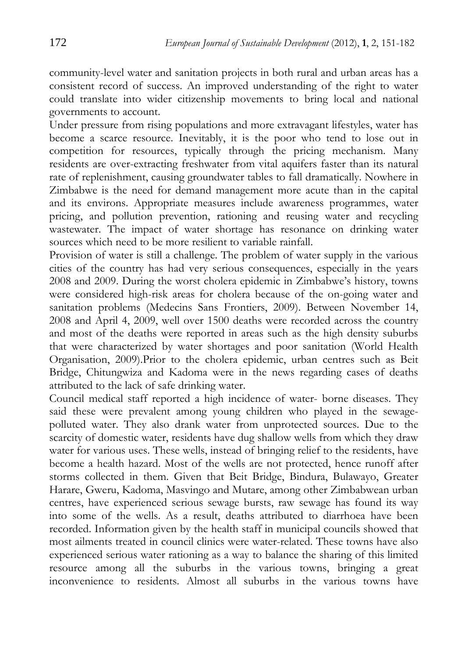community-level water and sanitation projects in both rural and urban areas has a consistent record of success. An improved understanding of the right to water could translate into wider citizenship movements to bring local and national governments to account.

Under pressure from rising populations and more extravagant lifestyles, water has become a scarce resource. Inevitably, it is the poor who tend to lose out in competition for resources, typically through the pricing mechanism. Many residents are over-extracting freshwater from vital aquifers faster than its natural rate of replenishment, causing groundwater tables to fall dramatically. Nowhere in Zimbabwe is the need for demand management more acute than in the capital and its environs. Appropriate measures include awareness programmes, water pricing, and pollution prevention, rationing and reusing water and recycling wastewater. The impact of water shortage has resonance on drinking water sources which need to be more resilient to variable rainfall.

Provision of water is still a challenge. The problem of water supply in the various cities of the country has had very serious consequences, especially in the years 2008 and 2009. During the worst cholera epidemic in Zimbabwe's history, towns were considered high-risk areas for cholera because of the on-going water and sanitation problems (Medecins Sans Frontiers, 2009). Between November 14, 2008 and April 4, 2009, well over 1500 deaths were recorded across the country and most of the deaths were reported in areas such as the high density suburbs that were characterized by water shortages and poor sanitation (World Health Organisation, 2009).Prior to the cholera epidemic, urban centres such as Beit Bridge, Chitungwiza and Kadoma were in the news regarding cases of deaths attributed to the lack of safe drinking water.

Council medical staff reported a high incidence of water- borne diseases. They said these were prevalent among young children who played in the sewagepolluted water. They also drank water from unprotected sources. Due to the scarcity of domestic water, residents have dug shallow wells from which they draw water for various uses. These wells, instead of bringing relief to the residents, have become a health hazard. Most of the wells are not protected, hence runoff after storms collected in them. Given that Beit Bridge, Bindura, Bulawayo, Greater Harare, Gweru, Kadoma, Masvingo and Mutare, among other Zimbabwean urban centres, have experienced serious sewage bursts, raw sewage has found its way into some of the wells. As a result, deaths attributed to diarrhoea have been recorded. Information given by the health staff in municipal councils showed that most ailments treated in council clinics were water-related. These towns have also experienced serious water rationing as a way to balance the sharing of this limited resource among all the suburbs in the various towns, bringing a great inconvenience to residents. Almost all suburbs in the various towns have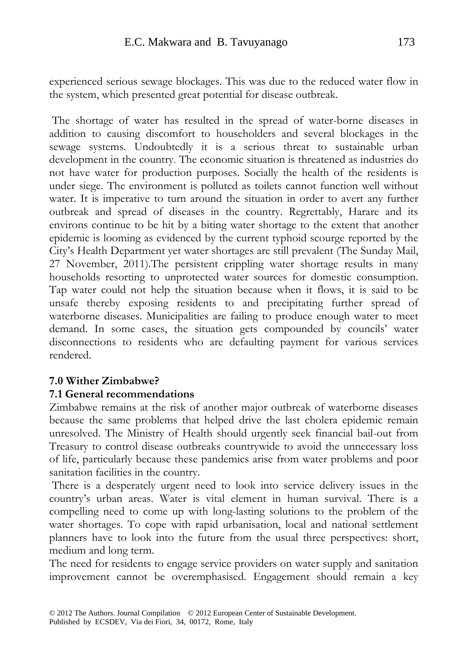experienced serious sewage blockages. This was due to the reduced water flow in the system, which presented great potential for disease outbreak.

The shortage of water has resulted in the spread of water-borne diseases in addition to causing discomfort to householders and several blockages in the sewage systems. Undoubtedly it is a serious threat to sustainable urban development in the country. The economic situation is threatened as industries do not have water for production purposes. Socially the health of the residents is under siege. The environment is polluted as toilets cannot function well without water. It is imperative to turn around the situation in order to avert any further outbreak and spread of diseases in the country. Regrettably, Harare and its environs continue to be hit by a biting water shortage to the extent that another epidemic is looming as evidenced by the current typhoid scourge reported by the City's Health Department yet water shortages are still prevalent (The Sunday Mail, 27 November, 2011).The persistent crippling water shortage results in many households resorting to unprotected water sources for domestic consumption. Tap water could not help the situation because when it flows, it is said to be unsafe thereby exposing residents to and precipitating further spread of waterborne diseases. Municipalities are failing to produce enough water to meet demand. In some cases, the situation gets compounded by councils' water disconnections to residents who are defaulting payment for various services rendered.

### **7.0 Wither Zimbabwe?**

### **7.1 General recommendations**

Zimbabwe remains at the risk of another major outbreak of waterborne diseases because the same problems that helped drive the last cholera epidemic remain unresolved. The Ministry of Health should urgently seek financial bail-out from Treasury to control disease outbreaks countrywide to avoid the unnecessary loss of life, particularly because these pandemics arise from water problems and poor sanitation facilities in the country.

There is a desperately urgent need to look into service delivery issues in the country's urban areas. Water is vital element in human survival. There is a compelling need to come up with long-lasting solutions to the problem of the water shortages. To cope with rapid urbanisation, local and national settlement planners have to look into the future from the usual three perspectives: short, medium and long term.

The need for residents to engage service providers on water supply and sanitation improvement cannot be overemphasised. Engagement should remain a key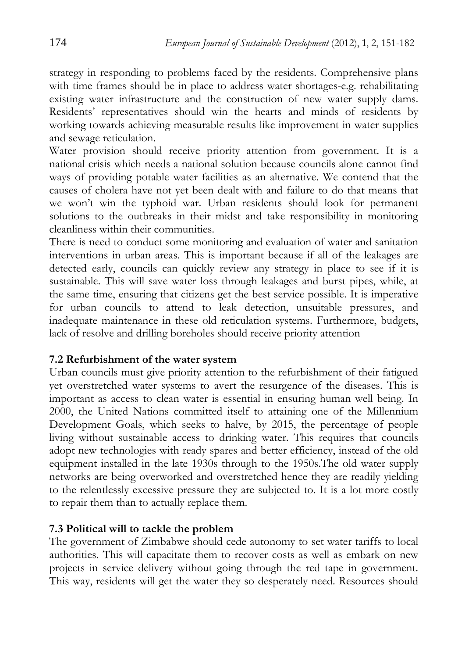strategy in responding to problems faced by the residents. Comprehensive plans with time frames should be in place to address water shortages-e.g. rehabilitating existing water infrastructure and the construction of new water supply dams. Residents' representatives should win the hearts and minds of residents by working towards achieving measurable results like improvement in water supplies and sewage reticulation.

Water provision should receive priority attention from government. It is a national crisis which needs a national solution because councils alone cannot find ways of providing potable water facilities as an alternative. We contend that the causes of cholera have not yet been dealt with and failure to do that means that we won't win the typhoid war. Urban residents should look for permanent solutions to the outbreaks in their midst and take responsibility in monitoring cleanliness within their communities.

There is need to conduct some monitoring and evaluation of water and sanitation interventions in urban areas. This is important because if all of the leakages are detected early, councils can quickly review any strategy in place to see if it is sustainable. This will save water loss through leakages and burst pipes, while, at the same time, ensuring that citizens get the best service possible. It is imperative for urban councils to attend to leak detection, unsuitable pressures, and inadequate maintenance in these old reticulation systems. Furthermore, budgets, lack of resolve and drilling boreholes should receive priority attention

### **7.2 Refurbishment of the water system**

Urban councils must give priority attention to the refurbishment of their fatigued yet overstretched water systems to avert the resurgence of the diseases. This is important as access to clean water is essential in ensuring human well being. In 2000, the United Nations committed itself to attaining one of the Millennium Development Goals, which seeks to halve, by 2015, the percentage of people living without sustainable access to drinking water. This requires that councils adopt new technologies with ready spares and better efficiency, instead of the old equipment installed in the late 1930s through to the 1950s.The old water supply networks are being overworked and overstretched hence they are readily yielding to the relentlessly excessive pressure they are subjected to. It is a lot more costly to repair them than to actually replace them.

### **7.3 Political will to tackle the problem**

The government of Zimbabwe should cede autonomy to set water tariffs to local authorities. This will capacitate them to recover costs as well as embark on new projects in service delivery without going through the red tape in government. This way, residents will get the water they so desperately need. Resources should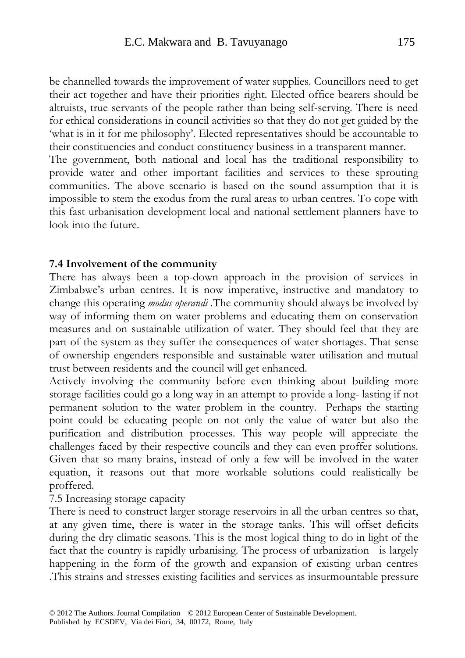be channelled towards the improvement of water supplies. Councillors need to get their act together and have their priorities right. Elected office bearers should be altruists, true servants of the people rather than being self-serving. There is need for ethical considerations in council activities so that they do not get guided by the 'what is in it for me philosophy'. Elected representatives should be accountable to their constituencies and conduct constituency business in a transparent manner. The government, both national and local has the traditional responsibility to

provide water and other important facilities and services to these sprouting communities. The above scenario is based on the sound assumption that it is impossible to stem the exodus from the rural areas to urban centres. To cope with this fast urbanisation development local and national settlement planners have to look into the future.

#### **7.4 Involvement of the community**

There has always been a top-down approach in the provision of services in Zimbabwe's urban centres. It is now imperative, instructive and mandatory to change this operating *modus operandi .*The community should always be involved by way of informing them on water problems and educating them on conservation measures and on sustainable utilization of water. They should feel that they are part of the system as they suffer the consequences of water shortages. That sense of ownership engenders responsible and sustainable water utilisation and mutual trust between residents and the council will get enhanced.

Actively involving the community before even thinking about building more storage facilities could go a long way in an attempt to provide a long- lasting if not permanent solution to the water problem in the country. Perhaps the starting point could be educating people on not only the value of water but also the purification and distribution processes. This way people will appreciate the challenges faced by their respective councils and they can even proffer solutions. Given that so many brains, instead of only a few will be involved in the water equation, it reasons out that more workable solutions could realistically be proffered.

7.5 Increasing storage capacity

There is need to construct larger storage reservoirs in all the urban centres so that, at any given time, there is water in the storage tanks. This will offset deficits during the dry climatic seasons. This is the most logical thing to do in light of the fact that the country is rapidly urbanising. The process of urbanization is largely happening in the form of the growth and expansion of existing urban centres .This strains and stresses existing facilities and services as insurmountable pressure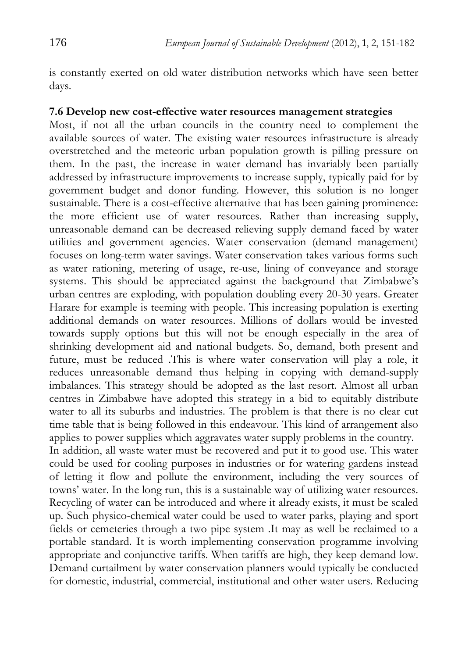is constantly exerted on old water distribution networks which have seen better days.

## **7.6 Develop new cost-effective water resources management strategies**

Most, if not all the urban councils in the country need to complement the available sources of water. The existing water resources infrastructure is already overstretched and the meteoric urban population growth is pilling pressure on them. In the past, the increase in water demand has invariably been partially addressed by infrastructure improvements to increase supply, typically paid for by government budget and donor funding. However, this solution is no longer sustainable. There is a cost-effective alternative that has been gaining prominence: the more efficient use of water resources. Rather than increasing supply, unreasonable demand can be decreased relieving supply demand faced by water utilities and government agencies. Water conservation (demand management) focuses on long-term water savings. Water conservation takes various forms such as water rationing, metering of usage, re-use, lining of conveyance and storage systems. This should be appreciated against the background that Zimbabwe's urban centres are exploding, with population doubling every 20-30 years. Greater Harare for example is teeming with people. This increasing population is exerting additional demands on water resources. Millions of dollars would be invested towards supply options but this will not be enough especially in the area of shrinking development aid and national budgets. So, demand, both present and future, must be reduced .This is where water conservation will play a role, it reduces unreasonable demand thus helping in copying with demand-supply imbalances. This strategy should be adopted as the last resort. Almost all urban centres in Zimbabwe have adopted this strategy in a bid to equitably distribute water to all its suburbs and industries. The problem is that there is no clear cut time table that is being followed in this endeavour. This kind of arrangement also applies to power supplies which aggravates water supply problems in the country. In addition, all waste water must be recovered and put it to good use. This water

could be used for cooling purposes in industries or for watering gardens instead of letting it flow and pollute the environment, including the very sources of towns' water. In the long run, this is a sustainable way of utilizing water resources. Recycling of water can be introduced and where it already exists, it must be scaled up. Such physico-chemical water could be used to water parks, playing and sport fields or cemeteries through a two pipe system .It may as well be reclaimed to a portable standard. It is worth implementing conservation programme involving appropriate and conjunctive tariffs. When tariffs are high, they keep demand low. Demand curtailment by water conservation planners would typically be conducted for domestic, industrial, commercial, institutional and other water users. Reducing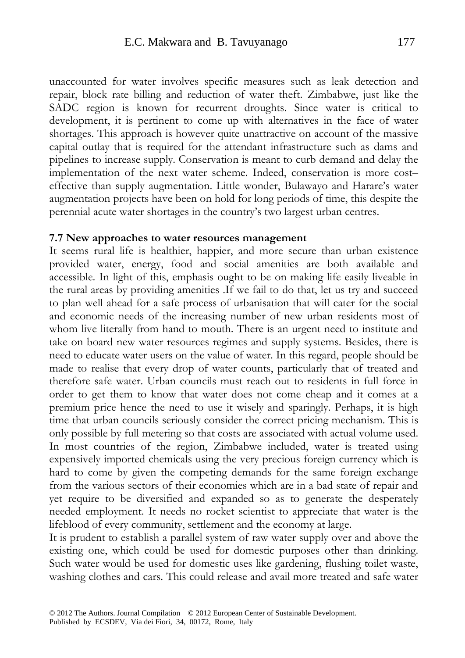unaccounted for water involves specific measures such as leak detection and repair, block rate billing and reduction of water theft. Zimbabwe, just like the SADC region is known for recurrent droughts. Since water is critical to development, it is pertinent to come up with alternatives in the face of water shortages. This approach is however quite unattractive on account of the massive capital outlay that is required for the attendant infrastructure such as dams and pipelines to increase supply. Conservation is meant to curb demand and delay the implementation of the next water scheme. Indeed, conservation is more cost– effective than supply augmentation. Little wonder, Bulawayo and Harare's water augmentation projects have been on hold for long periods of time, this despite the perennial acute water shortages in the country's two largest urban centres.

#### **7.7 New approaches to water resources management**

It seems rural life is healthier, happier, and more secure than urban existence provided water, energy, food and social amenities are both available and accessible. In light of this, emphasis ought to be on making life easily liveable in the rural areas by providing amenities .If we fail to do that, let us try and succeed to plan well ahead for a safe process of urbanisation that will cater for the social and economic needs of the increasing number of new urban residents most of whom live literally from hand to mouth. There is an urgent need to institute and take on board new water resources regimes and supply systems. Besides, there is need to educate water users on the value of water. In this regard, people should be made to realise that every drop of water counts, particularly that of treated and therefore safe water. Urban councils must reach out to residents in full force in order to get them to know that water does not come cheap and it comes at a premium price hence the need to use it wisely and sparingly. Perhaps, it is high time that urban councils seriously consider the correct pricing mechanism. This is only possible by full metering so that costs are associated with actual volume used. In most countries of the region, Zimbabwe included, water is treated using expensively imported chemicals using the very precious foreign currency which is hard to come by given the competing demands for the same foreign exchange from the various sectors of their economies which are in a bad state of repair and yet require to be diversified and expanded so as to generate the desperately needed employment. It needs no rocket scientist to appreciate that water is the lifeblood of every community, settlement and the economy at large.

It is prudent to establish a parallel system of raw water supply over and above the existing one, which could be used for domestic purposes other than drinking. Such water would be used for domestic uses like gardening, flushing toilet waste, washing clothes and cars. This could release and avail more treated and safe water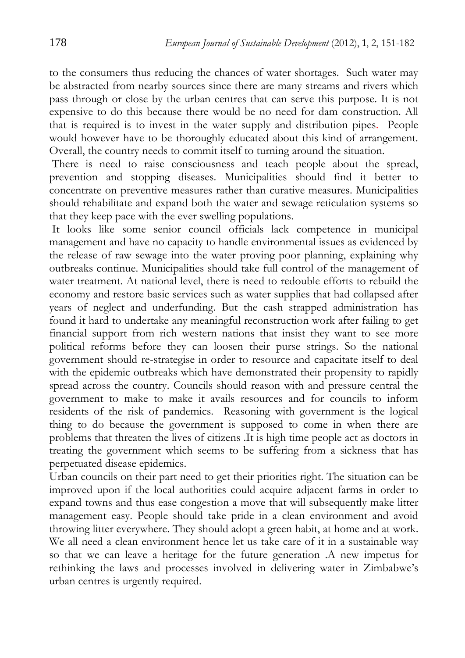to the consumers thus reducing the chances of water shortages. Such water may be abstracted from nearby sources since there are many streams and rivers which pass through or close by the urban centres that can serve this purpose. It is not expensive to do this because there would be no need for dam construction. All that is required is to invest in the water supply and distribution pipes. People would however have to be thoroughly educated about this kind of arrangement. Overall, the country needs to commit itself to turning around the situation.

There is need to raise consciousness and teach people about the spread, prevention and stopping diseases. Municipalities should find it better to concentrate on preventive measures rather than curative measures. Municipalities should rehabilitate and expand both the water and sewage reticulation systems so that they keep pace with the ever swelling populations.

 It looks like some senior council officials lack competence in municipal management and have no capacity to handle environmental issues as evidenced by the release of raw sewage into the water proving poor planning, explaining why outbreaks continue. Municipalities should take full control of the management of water treatment. At national level, there is need to redouble efforts to rebuild the economy and restore basic services such as water supplies that had collapsed after years of neglect and underfunding. But the cash strapped administration has found it hard to undertake any meaningful reconstruction work after failing to get financial support from rich western nations that insist they want to see more political reforms before they can loosen their purse strings. So the national government should re-strategise in order to resource and capacitate itself to deal with the epidemic outbreaks which have demonstrated their propensity to rapidly spread across the country. Councils should reason with and pressure central the government to make to make it avails resources and for councils to inform residents of the risk of pandemics. Reasoning with government is the logical thing to do because the government is supposed to come in when there are problems that threaten the lives of citizens .It is high time people act as doctors in treating the government which seems to be suffering from a sickness that has perpetuated disease epidemics.

Urban councils on their part need to get their priorities right. The situation can be improved upon if the local authorities could acquire adjacent farms in order to expand towns and thus ease congestion a move that will subsequently make litter management easy. People should take pride in a clean environment and avoid throwing litter everywhere. They should adopt a green habit, at home and at work. We all need a clean environment hence let us take care of it in a sustainable way so that we can leave a heritage for the future generation .A new impetus for rethinking the laws and processes involved in delivering water in Zimbabwe's urban centres is urgently required.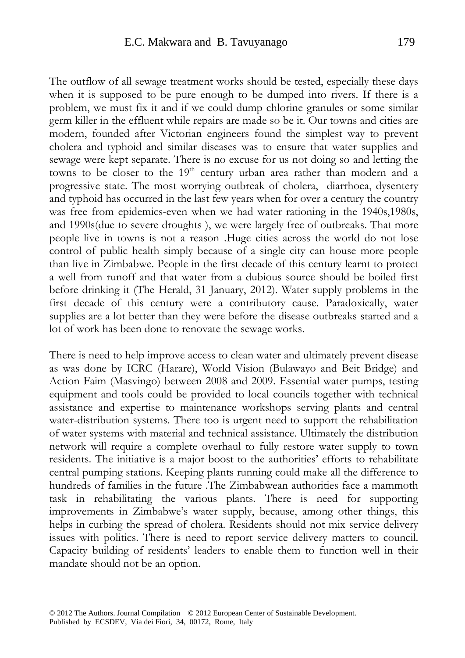The outflow of all sewage treatment works should be tested, especially these days when it is supposed to be pure enough to be dumped into rivers. If there is a problem, we must fix it and if we could dump chlorine granules or some similar germ killer in the effluent while repairs are made so be it. Our towns and cities are modern, founded after Victorian engineers found the simplest way to prevent cholera and typhoid and similar diseases was to ensure that water supplies and sewage were kept separate. There is no excuse for us not doing so and letting the towns to be closer to the 19<sup>th</sup> century urban area rather than modern and a progressive state. The most worrying outbreak of cholera, diarrhoea, dysentery and typhoid has occurred in the last few years when for over a century the country was free from epidemics-even when we had water rationing in the 1940s,1980s, and 1990s(due to severe droughts ), we were largely free of outbreaks. That more people live in towns is not a reason .Huge cities across the world do not lose control of public health simply because of a single city can house more people than live in Zimbabwe. People in the first decade of this century learnt to protect a well from runoff and that water from a dubious source should be boiled first before drinking it (The Herald, 31 January, 2012). Water supply problems in the first decade of this century were a contributory cause. Paradoxically, water supplies are a lot better than they were before the disease outbreaks started and a lot of work has been done to renovate the sewage works.

There is need to help improve access to clean water and ultimately prevent disease as was done by ICRC (Harare), World Vision (Bulawayo and Beit Bridge) and Action Faim (Masvingo) between 2008 and 2009. Essential water pumps, testing equipment and tools could be provided to local councils together with technical assistance and expertise to maintenance workshops serving plants and central water-distribution systems. There too is urgent need to support the rehabilitation of water systems with material and technical assistance. Ultimately the distribution network will require a complete overhaul to fully restore water supply to town residents. The initiative is a major boost to the authorities' efforts to rehabilitate central pumping stations. Keeping plants running could make all the difference to hundreds of families in the future .The Zimbabwean authorities face a mammoth task in rehabilitating the various plants. There is need for supporting improvements in Zimbabwe's water supply, because, among other things, this helps in curbing the spread of cholera. Residents should not mix service delivery issues with politics. There is need to report service delivery matters to council. Capacity building of residents' leaders to enable them to function well in their mandate should not be an option.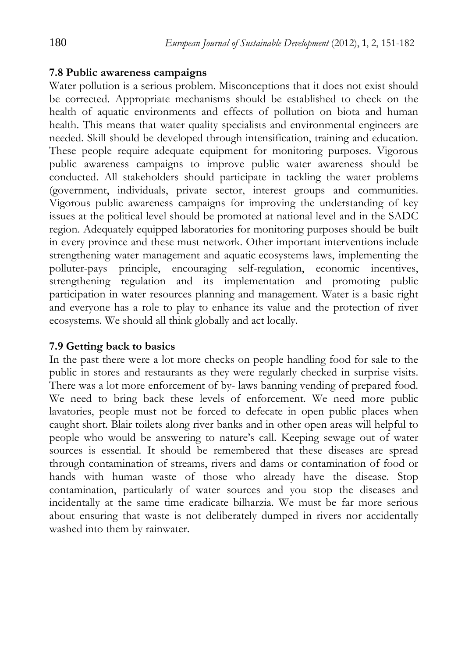#### **7.8 Public awareness campaigns**

Water pollution is a serious problem. Misconceptions that it does not exist should be corrected. Appropriate mechanisms should be established to check on the health of aquatic environments and effects of pollution on biota and human health. This means that water quality specialists and environmental engineers are needed. Skill should be developed through intensification, training and education. These people require adequate equipment for monitoring purposes. Vigorous public awareness campaigns to improve public water awareness should be conducted. All stakeholders should participate in tackling the water problems (government, individuals, private sector, interest groups and communities. Vigorous public awareness campaigns for improving the understanding of key issues at the political level should be promoted at national level and in the SADC region. Adequately equipped laboratories for monitoring purposes should be built in every province and these must network. Other important interventions include strengthening water management and aquatic ecosystems laws, implementing the polluter-pays principle, encouraging self-regulation, economic incentives, strengthening regulation and its implementation and promoting public participation in water resources planning and management. Water is a basic right and everyone has a role to play to enhance its value and the protection of river ecosystems. We should all think globally and act locally.

### **7.9 Getting back to basics**

In the past there were a lot more checks on people handling food for sale to the public in stores and restaurants as they were regularly checked in surprise visits. There was a lot more enforcement of by- laws banning vending of prepared food. We need to bring back these levels of enforcement. We need more public lavatories, people must not be forced to defecate in open public places when caught short. Blair toilets along river banks and in other open areas will helpful to people who would be answering to nature's call. Keeping sewage out of water sources is essential. It should be remembered that these diseases are spread through contamination of streams, rivers and dams or contamination of food or hands with human waste of those who already have the disease. Stop contamination, particularly of water sources and you stop the diseases and incidentally at the same time eradicate bilharzia. We must be far more serious about ensuring that waste is not deliberately dumped in rivers nor accidentally washed into them by rainwater.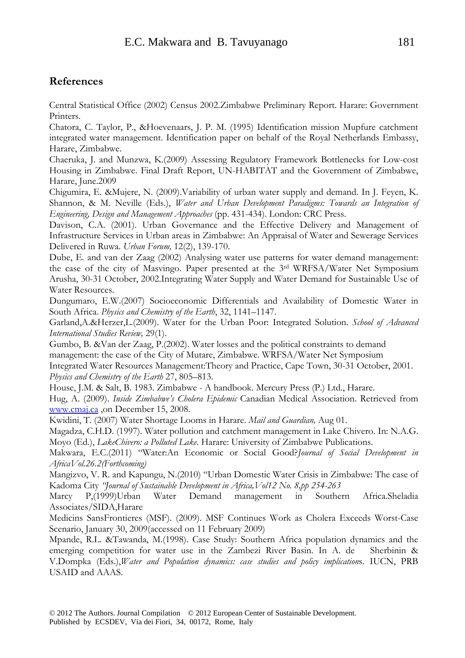#### **References**

Central Statistical Office (2002) Census 2002.Zimbabwe Preliminary Report. Harare: Government Printers.

Chatora, C. Taylor, P., &Hoevenaars, J. P. M. (1995) Identification mission Mupfure catchment integrated water management. Identification paper on behalf of the Royal Netherlands Embassy, Harare, Zimbabwe.

Chaeruka, J. and Munzwa, K.(2009) Assessing Regulatory Framework Bottlenecks for Low-cost Housing in Zimbabwe. Final Draft Report, UN-HABITAT and the Government of Zimbabwe, Harare, June.2009

Chigumira, E. &Mujere, N. (2009).Variability of urban water supply and demand. In J. Feyen, K. Shannon, & M. Neville (Eds.), *Water and Urban Development Paradigms: Towards an Integration of Engineering, Design and Management Approaches* (pp. 431-434). London: CRC Press.

Davison, C.A. (2001). Urban Governance and the Effective Delivery and Management of Infrastructure Services in Urban areas in Zimbabwe: An Appraisal of Water and Sewerage Services Delivered in Ruwa. *Urban Forum,* 12(2), 139-170.

Dube, E. and van der Zaag (2002) Analysing water use patterns for water demand management: the case of the city of Masvingo. Paper presented at the 3rd WRFSA/Water Net Symposium Arusha, 30-31 October, 2002.Integrating Water Supply and Water Demand for Sustainable Use of Water Resources.

Dungumaro, E.W.(2007) Socioeconomic Differentials and Availability of Domestic Water in South Africa. *Physics and Chemistry of the Earth*, 32, 1141–1147.

Garland,A.&Herzer,L.(2009). Water for the Urban Poor: Integrated Solution. *School of Advanced International Studies Review,* 29(1).

Gumbo, B. &Van der Zaag, P.(2002). Water losses and the political constraints to demand management: the case of the City of Mutare, Zimbabwe. WRFSA/Water Net Symposium Integrated Water Resources Management:Theory and Practice, Cape Town, 30-31 October, 2001. *Physics and Chemistry of the Earth* 27, 805–813.

House, J.M. & Salt, B. 1983. Zimbabwe - A handbook. Mercury Press (P.) Ltd., Harare.

Hug, A. (2009). *Inside Zimbabwe's Cholera Epidemic* Canadian Medical Association. Retrieved from www.cmaj.ca ,on December 15, 2008.

Kwidini, T. (2007) Water Shortage Looms in Harare. *Mail and Guardian,* Aug 01.

Magadza, C.H.D. (1997). Water pollution and catchment management in Lake Chivero. In: N.A.G. Moyo (Ed.), *LakeChivero: a Polluted Lake*. Harare: University of Zimbabwe Publications.

Makwara, E.C.(2011) "Water:An Economic or Social Good?*Journal of Social Development in AfricaVol.26.2(Forthcoming)*

Mangizvo, V. R. and Kapungu, N.(2010) "Urban Domestic Water Crisis in Zimbabwe: The case of Kadoma City *"Journal of Sustainable Development in Africa,Vol12 No. 8,pp 254-263*

Marcy P,(1999)Urban Water Demand management in Southern Africa.Sheladia Associates/SIDA,Harare

Medicins SansFrontieres (MSF). (2009). MSF Continues Work as Cholera Exceeds Worst-Case Scenario, January 30, 2009(accessed on 11 February 2009)

Mpande, R.L. &Tawanda, M.(1998). Case Study: Southern Africa population dynamics and the emerging competition for water use in the Zambezi River Basin. In A. de Sherbinin & V.Dompka (Eds.),*Water and Population dynamics: case studies and policy implication*s. IUCN, PRB USAID and AAAS.